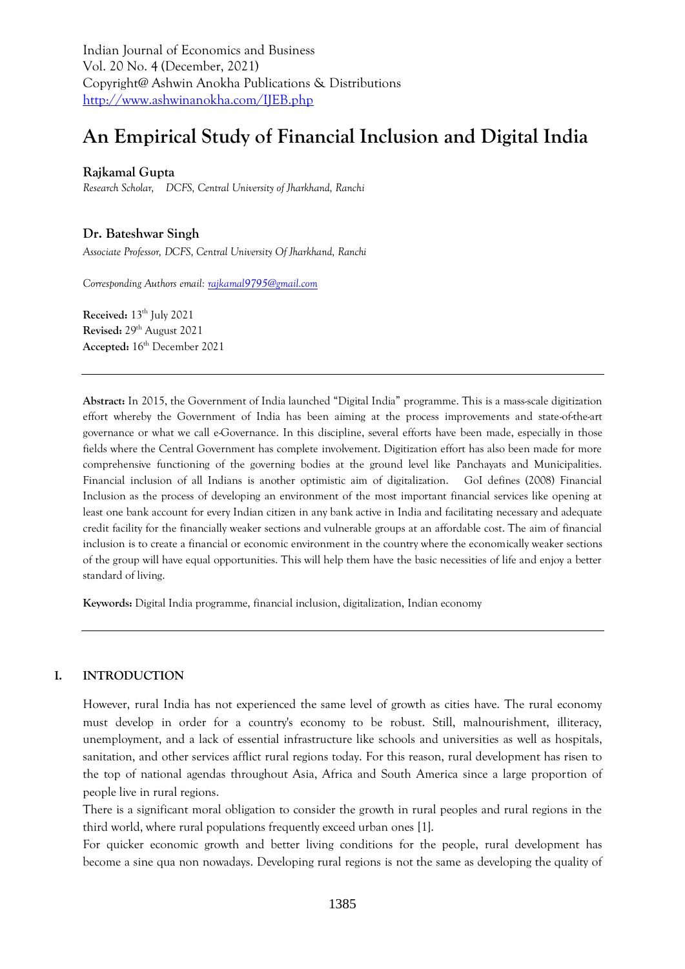Indian Journal of Economics and Business Vol. 20 No. 4 (December, 2021) Copyright@ Ashwin Anokha Publications & Distributions <http://www.ashwinanokha.com/IJEB.php>

# **An Empirical Study of Financial Inclusion and Digital India**

## **Rajkamal Gupta**

*Research Scholar, DCFS, Central University of Jharkhand, Ranchi*

# **Dr. Bateshwar Singh**

*Associate Professor, DCFS, Central University Of Jharkhand, Ranchi*

*Corresponding Authors email[: rajkamal9795@gmail.com](mailto:rajkamal9795@gmail.com)*

**Received:** 13 th July 2021 **Revised:** 29th August 2021 **Accepted:** 16 th December 2021

**Abstract:** In 2015, the Government of India launched "Digital India" programme. This is a mass-scale digitization effort whereby the Government of India has been aiming at the process improvements and state-of-the-art governance or what we call e-Governance. In this discipline, several efforts have been made, especially in those fields where the Central Government has complete involvement. Digitization effort has also been made for more comprehensive functioning of the governing bodies at the ground level like Panchayats and Municipalities. Financial inclusion of all Indians is another optimistic aim of digitalization. GoI defines (2008) Financial Inclusion as the process of developing an environment of the most important financial services like opening at least one bank account for every Indian citizen in any bank active in India and facilitating necessary and adequate credit facility for the financially weaker sections and vulnerable groups at an affordable cost. The aim of financial inclusion is to create a financial or economic environment in the country where the economically weaker sections of the group will have equal opportunities. This will help them have the basic necessities of life and enjoy a better standard of living.

**Keywords:** Digital India programme, financial inclusion, digitalization, Indian economy

## **I. INTRODUCTION**

However, rural India has not experienced the same level of growth as cities have. The rural economy must develop in order for a country's economy to be robust. Still, malnourishment, illiteracy, unemployment, and a lack of essential infrastructure like schools and universities as well as hospitals, sanitation, and other services afflict rural regions today. For this reason, rural development has risen to the top of national agendas throughout Asia, Africa and South America since a large proportion of people live in rural regions.

There is a significant moral obligation to consider the growth in rural peoples and rural regions in the third world, where rural populations frequently exceed urban ones [1].

For quicker economic growth and better living conditions for the people, rural development has become a sine qua non nowadays. Developing rural regions is not the same as developing the quality of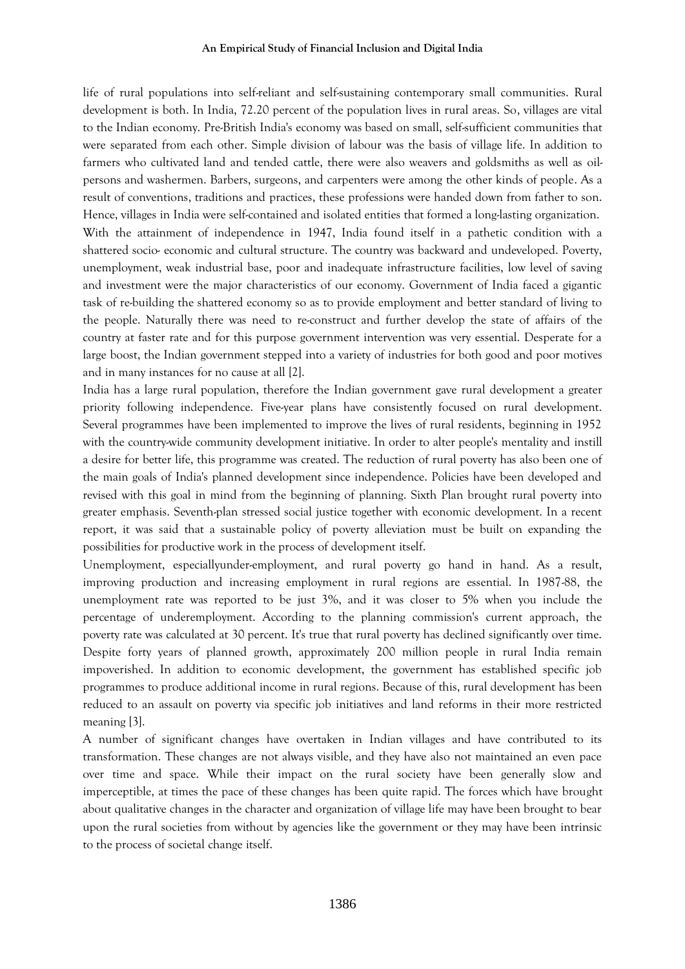life of rural populations into self-reliant and self-sustaining contemporary small communities. Rural development is both. In India, 72.20 percent of the population lives in rural areas. So, villages are vital to the Indian economy. Pre-British India's economy was based on small, self-sufficient communities that were separated from each other. Simple division of labour was the basis of village life. In addition to farmers who cultivated land and tended cattle, there were also weavers and goldsmiths as well as oilpersons and washermen. Barbers, surgeons, and carpenters were among the other kinds of people. As a result of conventions, traditions and practices, these professions were handed down from father to son. Hence, villages in India were self-contained and isolated entities that formed a long-lasting organization. With the attainment of independence in 1947, India found itself in a pathetic condition with a shattered socio- economic and cultural structure. The country was backward and undeveloped. Poverty, unemployment, weak industrial base, poor and inadequate infrastructure facilities, low level of saving and investment were the major characteristics of our economy. Government of India faced a gigantic task of re-building the shattered economy so as to provide employment and better standard of living to

the people. Naturally there was need to re-construct and further develop the state of affairs of the country at faster rate and for this purpose government intervention was very essential. Desperate for a large boost, the Indian government stepped into a variety of industries for both good and poor motives and in many instances for no cause at all [2].

India has a large rural population, therefore the Indian government gave rural development a greater priority following independence. Five-year plans have consistently focused on rural development. Several programmes have been implemented to improve the lives of rural residents, beginning in 1952 with the country-wide community development initiative. In order to alter people's mentality and instill a desire for better life, this programme was created. The reduction of rural poverty has also been one of the main goals of India's planned development since independence. Policies have been developed and revised with this goal in mind from the beginning of planning. Sixth Plan brought rural poverty into greater emphasis. Seventh-plan stressed social justice together with economic development. In a recent report, it was said that a sustainable policy of poverty alleviation must be built on expanding the possibilities for productive work in the process of development itself.

Unemployment, especiallyunder-employment, and rural poverty go hand in hand. As a result, improving production and increasing employment in rural regions are essential. In 1987-88, the unemployment rate was reported to be just 3%, and it was closer to 5% when you include the percentage of underemployment. According to the planning commission's current approach, the poverty rate was calculated at 30 percent. It's true that rural poverty has declined significantly over time. Despite forty years of planned growth, approximately 200 million people in rural India remain impoverished. In addition to economic development, the government has established specific job programmes to produce additional income in rural regions. Because of this, rural development has been reduced to an assault on poverty via specific job initiatives and land reforms in their more restricted meaning [3].

A number of significant changes have overtaken in Indian villages and have contributed to its transformation. These changes are not always visible, and they have also not maintained an even pace over time and space. While their impact on the rural society have been generally slow and imperceptible, at times the pace of these changes has been quite rapid. The forces which have brought about qualitative changes in the character and organization of village life may have been brought to bear upon the rural societies from without by agencies like the government or they may have been intrinsic to the process of societal change itself.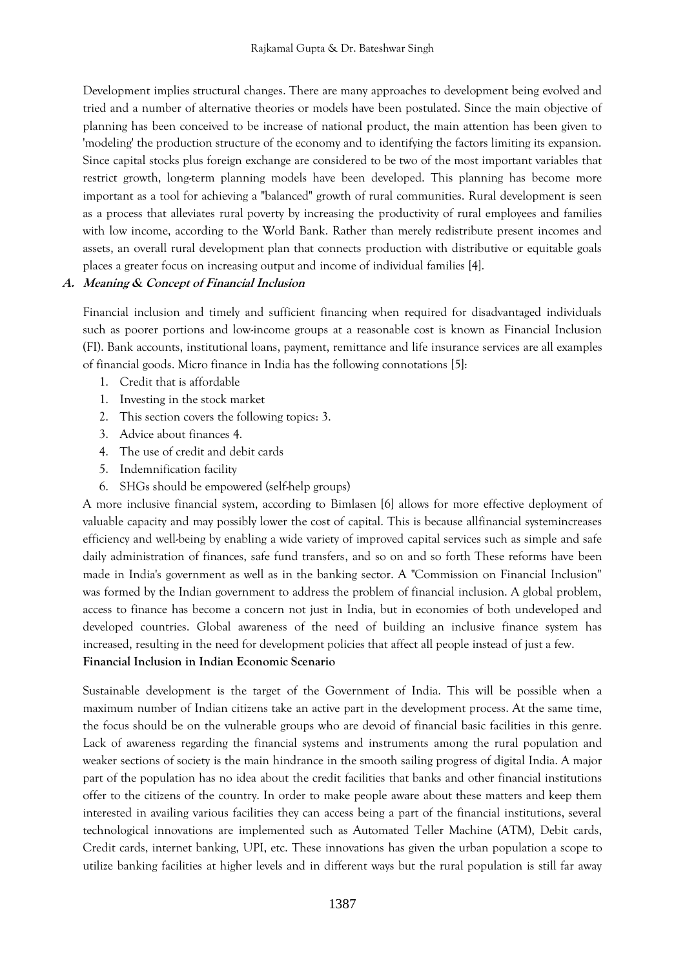Development implies structural changes. There are many approaches to development being evolved and tried and a number of alternative theories or models have been postulated. Since the main objective of planning has been conceived to be increase of national product, the main attention has been given to 'modeling' the production structure of the economy and to identifying the factors limiting its expansion. Since capital stocks plus foreign exchange are considered to be two of the most important variables that restrict growth, long-term planning models have been developed. This planning has become more important as a tool for achieving a "balanced" growth of rural communities. Rural development is seen as a process that alleviates rural poverty by increasing the productivity of rural employees and families with low income, according to the World Bank. Rather than merely redistribute present incomes and assets, an overall rural development plan that connects production with distributive or equitable goals places a greater focus on increasing output and income of individual families [4].

## **A. Meaning & Concept of Financial Inclusion**

Financial inclusion and timely and sufficient financing when required for disadvantaged individuals such as poorer portions and low-income groups at a reasonable cost is known as Financial Inclusion (FI). Bank accounts, institutional loans, payment, remittance and life insurance services are all examples of financial goods. Micro finance in India has the following connotations [5]:

- 1. Credit that is affordable
- 1. Investing in the stock market
- 2. This section covers the following topics: 3.
- 3. Advice about finances 4.
- 4. The use of credit and debit cards
- 5. Indemnification facility
- 6. SHGs should be empowered (self-help groups)

A more inclusive financial system, according to Bimlasen [6] allows for more effective deployment of valuable capacity and may possibly lower the cost of capital. This is because allfinancial systemincreases efficiency and well-being by enabling a wide variety of improved capital services such as simple and safe daily administration of finances, safe fund transfers, and so on and so forth These reforms have been made in India's government as well as in the banking sector. A "Commission on Financial Inclusion" was formed by the Indian government to address the problem of financial inclusion. A global problem, access to finance has become a concern not just in India, but in economies of both undeveloped and developed countries. Global awareness of the need of building an inclusive finance system has increased, resulting in the need for development policies that affect all people instead of just a few. **Financial Inclusion in Indian Economic Scenario** 

Sustainable development is the target of the Government of India. This will be possible when a maximum number of Indian citizens take an active part in the development process. At the same time, the focus should be on the vulnerable groups who are devoid of financial basic facilities in this genre. Lack of awareness regarding the financial systems and instruments among the rural population and weaker sections of society is the main hindrance in the smooth sailing progress of digital India. A major part of the population has no idea about the credit facilities that banks and other financial institutions offer to the citizens of the country. In order to make people aware about these matters and keep them interested in availing various facilities they can access being a part of the financial institutions, several technological innovations are implemented such as Automated Teller Machine (ATM), Debit cards, Credit cards, internet banking, UPI, etc. These innovations has given the urban population a scope to utilize banking facilities at higher levels and in different ways but the rural population is still far away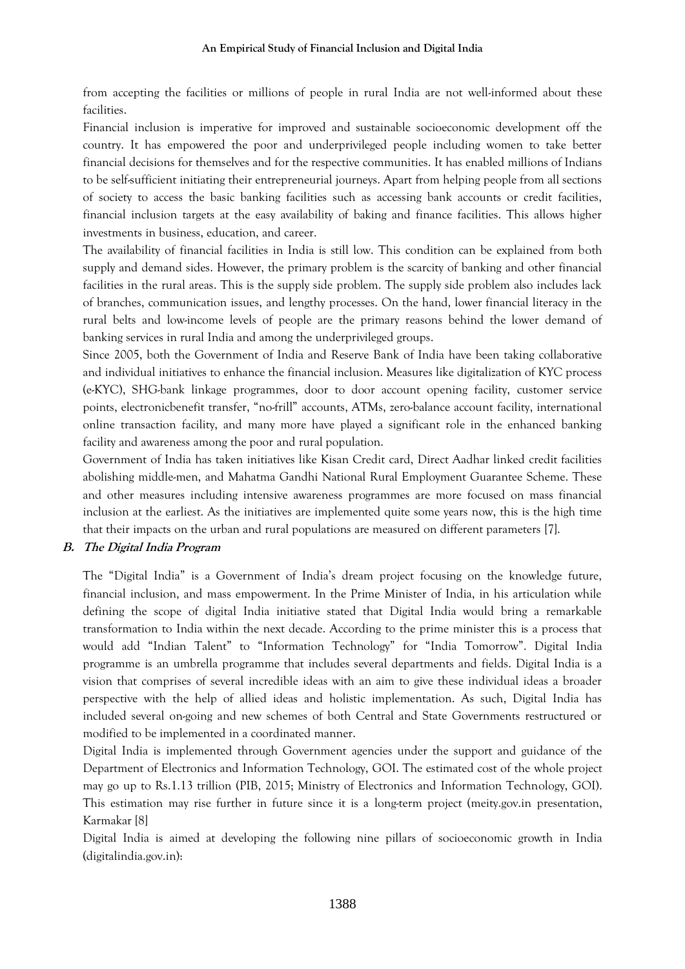from accepting the facilities or millions of people in rural India are not well-informed about these facilities.

Financial inclusion is imperative for improved and sustainable socioeconomic development off the country. It has empowered the poor and underprivileged people including women to take better financial decisions for themselves and for the respective communities. It has enabled millions of Indians to be self-sufficient initiating their entrepreneurial journeys. Apart from helping people from all sections of society to access the basic banking facilities such as accessing bank accounts or credit facilities, financial inclusion targets at the easy availability of baking and finance facilities. This allows higher investments in business, education, and career.

The availability of financial facilities in India is still low. This condition can be explained from both supply and demand sides. However, the primary problem is the scarcity of banking and other financial facilities in the rural areas. This is the supply side problem. The supply side problem also includes lack of branches, communication issues, and lengthy processes. On the hand, lower financial literacy in the rural belts and low-income levels of people are the primary reasons behind the lower demand of banking services in rural India and among the underprivileged groups.

Since 2005, both the Government of India and Reserve Bank of India have been taking collaborative and individual initiatives to enhance the financial inclusion. Measures like digitalization of KYC process (e-KYC), SHG-bank linkage programmes, door to door account opening facility, customer service points, electronicbenefit transfer, "no-frill" accounts, ATMs, zero-balance account facility, international online transaction facility, and many more have played a significant role in the enhanced banking facility and awareness among the poor and rural population.

Government of India has taken initiatives like Kisan Credit card, Direct Aadhar linked credit facilities abolishing middle-men, and Mahatma Gandhi National Rural Employment Guarantee Scheme. These and other measures including intensive awareness programmes are more focused on mass financial inclusion at the earliest. As the initiatives are implemented quite some years now, this is the high time that their impacts on the urban and rural populations are measured on different parameters [7].

## **B. The Digital India Program**

The "Digital India" is a Government of India's dream project focusing on the knowledge future, financial inclusion, and mass empowerment. In the Prime Minister of India, in his articulation while defining the scope of digital India initiative stated that Digital India would bring a remarkable transformation to India within the next decade. According to the prime minister this is a process that would add "Indian Talent" to "Information Technology" for "India Tomorrow". Digital India programme is an umbrella programme that includes several departments and fields. Digital India is a vision that comprises of several incredible ideas with an aim to give these individual ideas a broader perspective with the help of allied ideas and holistic implementation. As such, Digital India has included several on-going and new schemes of both Central and State Governments restructured or modified to be implemented in a coordinated manner.

Digital India is implemented through Government agencies under the support and guidance of the Department of Electronics and Information Technology, GOI. The estimated cost of the whole project may go up to Rs.1.13 trillion (PIB, 2015; Ministry of Electronics and Information Technology, GOI). This estimation may rise further in future since it is a long-term project (meity.gov.in presentation, Karmakar [8]

Digital India is aimed at developing the following nine pillars of socioeconomic growth in India (digitalindia.gov.in):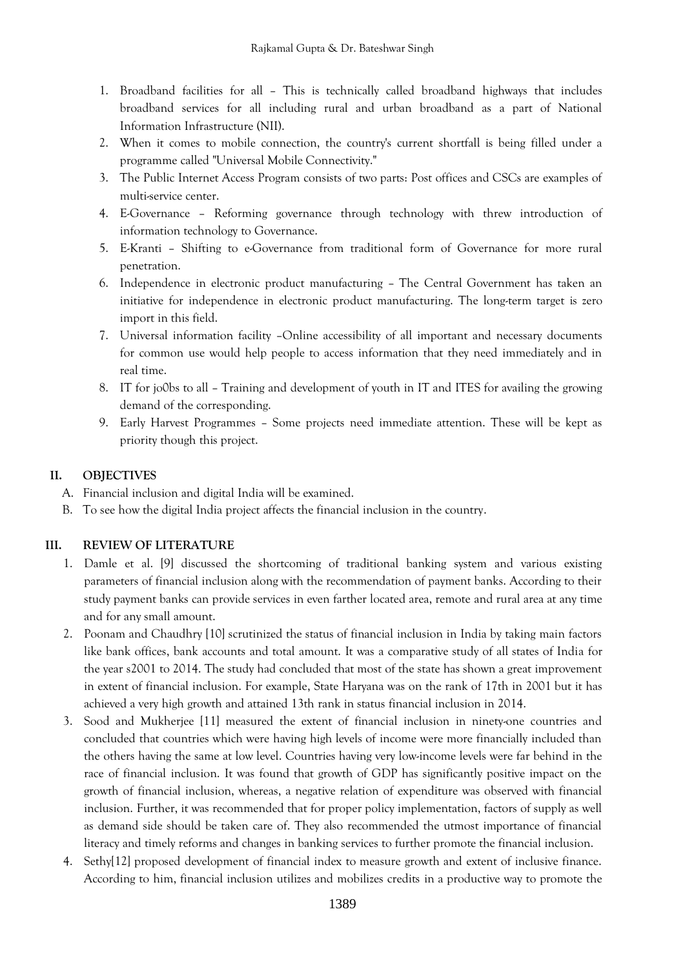- 1. Broadband facilities for all This is technically called broadband highways that includes broadband services for all including rural and urban broadband as a part of National Information Infrastructure (NII).
- 2. When it comes to mobile connection, the country's current shortfall is being filled under a programme called "Universal Mobile Connectivity."
- 3. The Public Internet Access Program consists of two parts: Post offices and CSCs are examples of multi-service center.
- 4. E-Governance Reforming governance through technology with threw introduction of information technology to Governance.
- 5. E-Kranti Shifting to e-Governance from traditional form of Governance for more rural penetration.
- 6. Independence in electronic product manufacturing The Central Government has taken an initiative for independence in electronic product manufacturing. The long-term target is zero import in this field.
- 7. Universal information facility –Online accessibility of all important and necessary documents for common use would help people to access information that they need immediately and in real time.
- 8. IT for jo0bs to all Training and development of youth in IT and ITES for availing the growing demand of the corresponding.
- 9. Early Harvest Programmes Some projects need immediate attention. These will be kept as priority though this project.

# **II. OBJECTIVES**

- A. Financial inclusion and digital India will be examined.
- B. To see how the digital India project affects the financial inclusion in the country.

# **III. REVIEW OF LITERATURE**

- 1. Damle et al. [9] discussed the shortcoming of traditional banking system and various existing parameters of financial inclusion along with the recommendation of payment banks. According to their study payment banks can provide services in even farther located area, remote and rural area at any time and for any small amount.
- 2. Poonam and Chaudhry [10] scrutinized the status of financial inclusion in India by taking main factors like bank offices, bank accounts and total amount. It was a comparative study of all states of India for the year s2001 to 2014. The study had concluded that most of the state has shown a great improvement in extent of financial inclusion. For example, State Haryana was on the rank of 17th in 2001 but it has achieved a very high growth and attained 13th rank in status financial inclusion in 2014.
- 3. Sood and Mukherjee [11] measured the extent of financial inclusion in ninety-one countries and concluded that countries which were having high levels of income were more financially included than the others having the same at low level. Countries having very low-income levels were far behind in the race of financial inclusion. It was found that growth of GDP has significantly positive impact on the growth of financial inclusion, whereas, a negative relation of expenditure was observed with financial inclusion. Further, it was recommended that for proper policy implementation, factors of supply as well as demand side should be taken care of. They also recommended the utmost importance of financial literacy and timely reforms and changes in banking services to further promote the financial inclusion.
- 4. Sethy[12] proposed development of financial index to measure growth and extent of inclusive finance. According to him, financial inclusion utilizes and mobilizes credits in a productive way to promote the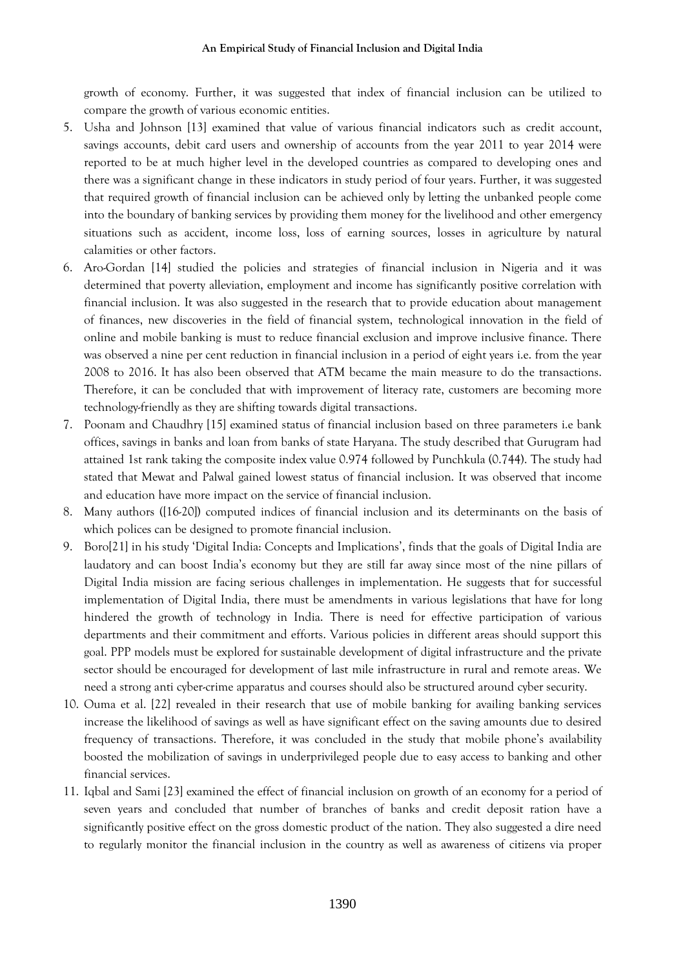growth of economy. Further, it was suggested that index of financial inclusion can be utilized to compare the growth of various economic entities.

- 5. Usha and Johnson [13] examined that value of various financial indicators such as credit account, savings accounts, debit card users and ownership of accounts from the year 2011 to year 2014 were reported to be at much higher level in the developed countries as compared to developing ones and there was a significant change in these indicators in study period of four years. Further, it was suggested that required growth of financial inclusion can be achieved only by letting the unbanked people come into the boundary of banking services by providing them money for the livelihood and other emergency situations such as accident, income loss, loss of earning sources, losses in agriculture by natural calamities or other factors.
- 6. Aro-Gordan [14] studied the policies and strategies of financial inclusion in Nigeria and it was determined that poverty alleviation, employment and income has significantly positive correlation with financial inclusion. It was also suggested in the research that to provide education about management of finances, new discoveries in the field of financial system, technological innovation in the field of online and mobile banking is must to reduce financial exclusion and improve inclusive finance. There was observed a nine per cent reduction in financial inclusion in a period of eight years i.e. from the year 2008 to 2016. It has also been observed that ATM became the main measure to do the transactions. Therefore, it can be concluded that with improvement of literacy rate, customers are becoming more technology-friendly as they are shifting towards digital transactions.
- 7. Poonam and Chaudhry [15] examined status of financial inclusion based on three parameters i.e bank offices, savings in banks and loan from banks of state Haryana. The study described that Gurugram had attained 1st rank taking the composite index value 0.974 followed by Punchkula (0.744). The study had stated that Mewat and Palwal gained lowest status of financial inclusion. It was observed that income and education have more impact on the service of financial inclusion.
- 8. Many authors ([16-20]) computed indices of financial inclusion and its determinants on the basis of which polices can be designed to promote financial inclusion.
- 9. Boro[21] in his study 'Digital India: Concepts and Implications', finds that the goals of Digital India are laudatory and can boost India's economy but they are still far away since most of the nine pillars of Digital India mission are facing serious challenges in implementation. He suggests that for successful implementation of Digital India, there must be amendments in various legislations that have for long hindered the growth of technology in India. There is need for effective participation of various departments and their commitment and efforts. Various policies in different areas should support this goal. PPP models must be explored for sustainable development of digital infrastructure and the private sector should be encouraged for development of last mile infrastructure in rural and remote areas. We need a strong anti cyber-crime apparatus and courses should also be structured around cyber security.
- 10. Ouma et al. [22] revealed in their research that use of mobile banking for availing banking services increase the likelihood of savings as well as have significant effect on the saving amounts due to desired frequency of transactions. Therefore, it was concluded in the study that mobile phone's availability boosted the mobilization of savings in underprivileged people due to easy access to banking and other financial services.
- 11. Iqbal and Sami [23] examined the effect of financial inclusion on growth of an economy for a period of seven years and concluded that number of branches of banks and credit deposit ration have a significantly positive effect on the gross domestic product of the nation. They also suggested a dire need to regularly monitor the financial inclusion in the country as well as awareness of citizens via proper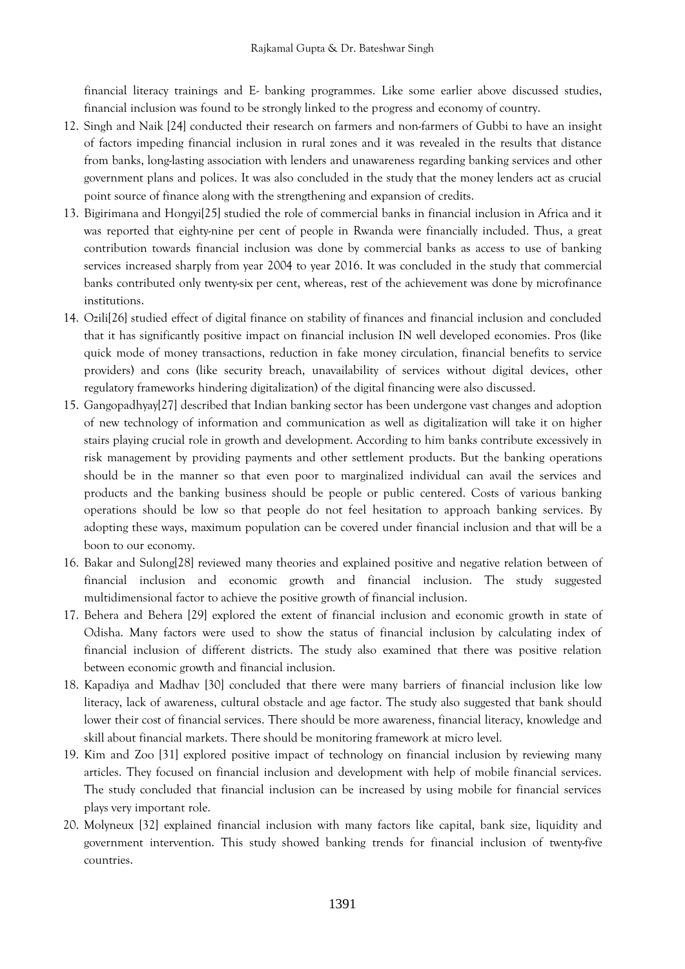financial literacy trainings and E- banking programmes. Like some earlier above discussed studies, financial inclusion was found to be strongly linked to the progress and economy of country.

- 12. Singh and Naik [24] conducted their research on farmers and non-farmers of Gubbi to have an insight of factors impeding financial inclusion in rural zones and it was revealed in the results that distance from banks, long-lasting association with lenders and unawareness regarding banking services and other government plans and polices. It was also concluded in the study that the money lenders act as crucial point source of finance along with the strengthening and expansion of credits.
- 13. Bigirimana and Hongyi[25] studied the role of commercial banks in financial inclusion in Africa and it was reported that eighty-nine per cent of people in Rwanda were financially included. Thus, a great contribution towards financial inclusion was done by commercial banks as access to use of banking services increased sharply from year 2004 to year 2016. It was concluded in the study that commercial banks contributed only twenty-six per cent, whereas, rest of the achievement was done by microfinance institutions.
- 14. Ozili[26] studied effect of digital finance on stability of finances and financial inclusion and concluded that it has significantly positive impact on financial inclusion IN well developed economies. Pros (like quick mode of money transactions, reduction in fake money circulation, financial benefits to service providers) and cons (like security breach, unavailability of services without digital devices, other regulatory frameworks hindering digitalization) of the digital financing were also discussed.
- 15. Gangopadhyay[27] described that Indian banking sector has been undergone vast changes and adoption of new technology of information and communication as well as digitalization will take it on higher stairs playing crucial role in growth and development. According to him banks contribute excessively in risk management by providing payments and other settlement products. But the banking operations should be in the manner so that even poor to marginalized individual can avail the services and products and the banking business should be people or public centered. Costs of various banking operations should be low so that people do not feel hesitation to approach banking services. By adopting these ways, maximum population can be covered under financial inclusion and that will be a boon to our economy.
- 16. Bakar and Sulong[28] reviewed many theories and explained positive and negative relation between of financial inclusion and economic growth and financial inclusion. The study suggested multidimensional factor to achieve the positive growth of financial inclusion.
- 17. Behera and Behera [29] explored the extent of financial inclusion and economic growth in state of Odisha. Many factors were used to show the status of financial inclusion by calculating index of financial inclusion of different districts. The study also examined that there was positive relation between economic growth and financial inclusion.
- 18. Kapadiya and Madhav [30] concluded that there were many barriers of financial inclusion like low literacy, lack of awareness, cultural obstacle and age factor. The study also suggested that bank should lower their cost of financial services. There should be more awareness, financial literacy, knowledge and skill about financial markets. There should be monitoring framework at micro level.
- 19. Kim and Zoo [31] explored positive impact of technology on financial inclusion by reviewing many articles. They focused on financial inclusion and development with help of mobile financial services. The study concluded that financial inclusion can be increased by using mobile for financial services plays very important role.
- 20. Molyneux [32] explained financial inclusion with many factors like capital, bank size, liquidity and government intervention. This study showed banking trends for financial inclusion of twenty-five countries.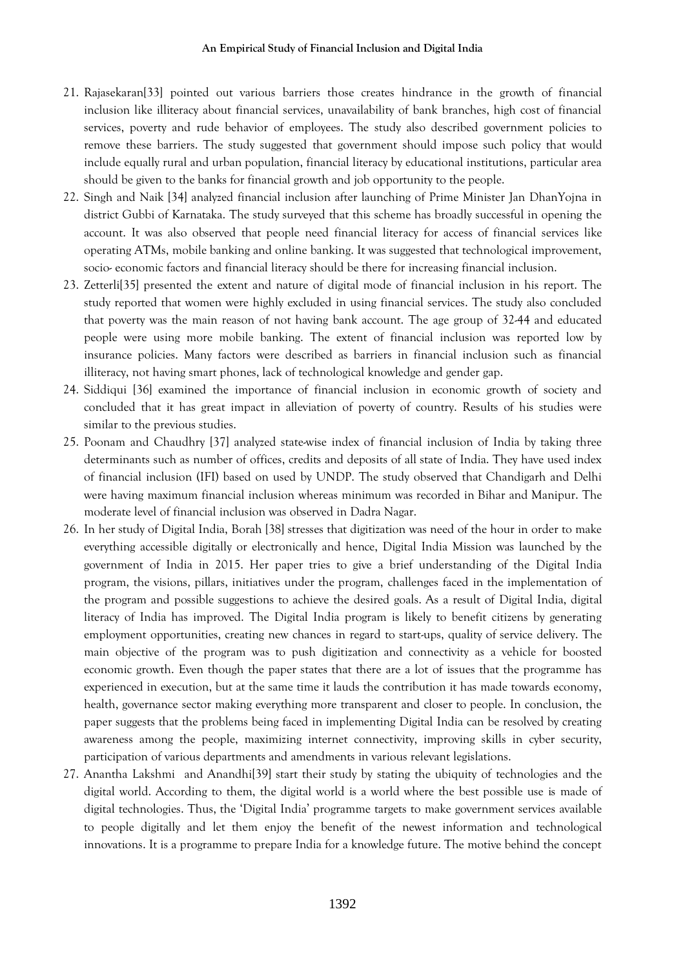- 21. Rajasekaran[33] pointed out various barriers those creates hindrance in the growth of financial inclusion like illiteracy about financial services, unavailability of bank branches, high cost of financial services, poverty and rude behavior of employees. The study also described government policies to remove these barriers. The study suggested that government should impose such policy that would include equally rural and urban population, financial literacy by educational institutions, particular area should be given to the banks for financial growth and job opportunity to the people.
- 22. Singh and Naik [34] analyzed financial inclusion after launching of Prime Minister Jan DhanYojna in district Gubbi of Karnataka. The study surveyed that this scheme has broadly successful in opening the account. It was also observed that people need financial literacy for access of financial services like operating ATMs, mobile banking and online banking. It was suggested that technological improvement, socio- economic factors and financial literacy should be there for increasing financial inclusion.
- 23. Zetterli[35] presented the extent and nature of digital mode of financial inclusion in his report. The study reported that women were highly excluded in using financial services. The study also concluded that poverty was the main reason of not having bank account. The age group of 32-44 and educated people were using more mobile banking. The extent of financial inclusion was reported low by insurance policies. Many factors were described as barriers in financial inclusion such as financial illiteracy, not having smart phones, lack of technological knowledge and gender gap.
- 24. Siddiqui [36] examined the importance of financial inclusion in economic growth of society and concluded that it has great impact in alleviation of poverty of country. Results of his studies were similar to the previous studies.
- 25. Poonam and Chaudhry [37] analyzed state-wise index of financial inclusion of India by taking three determinants such as number of offices, credits and deposits of all state of India. They have used index of financial inclusion (IFI) based on used by UNDP. The study observed that Chandigarh and Delhi were having maximum financial inclusion whereas minimum was recorded in Bihar and Manipur. The moderate level of financial inclusion was observed in Dadra Nagar.
- 26. In her study of Digital India, Borah [38] stresses that digitization was need of the hour in order to make everything accessible digitally or electronically and hence, Digital India Mission was launched by the government of India in 2015. Her paper tries to give a brief understanding of the Digital India program, the visions, pillars, initiatives under the program, challenges faced in the implementation of the program and possible suggestions to achieve the desired goals. As a result of Digital India, digital literacy of India has improved. The Digital India program is likely to benefit citizens by generating employment opportunities, creating new chances in regard to start-ups, quality of service delivery. The main objective of the program was to push digitization and connectivity as a vehicle for boosted economic growth. Even though the paper states that there are a lot of issues that the programme has experienced in execution, but at the same time it lauds the contribution it has made towards economy, health, governance sector making everything more transparent and closer to people. In conclusion, the paper suggests that the problems being faced in implementing Digital India can be resolved by creating awareness among the people, maximizing internet connectivity, improving skills in cyber security, participation of various departments and amendments in various relevant legislations.
- 27. Anantha Lakshmi and Anandhi[39] start their study by stating the ubiquity of technologies and the digital world. According to them, the digital world is a world where the best possible use is made of digital technologies. Thus, the 'Digital India' programme targets to make government services available to people digitally and let them enjoy the benefit of the newest information and technological innovations. It is a programme to prepare India for a knowledge future. The motive behind the concept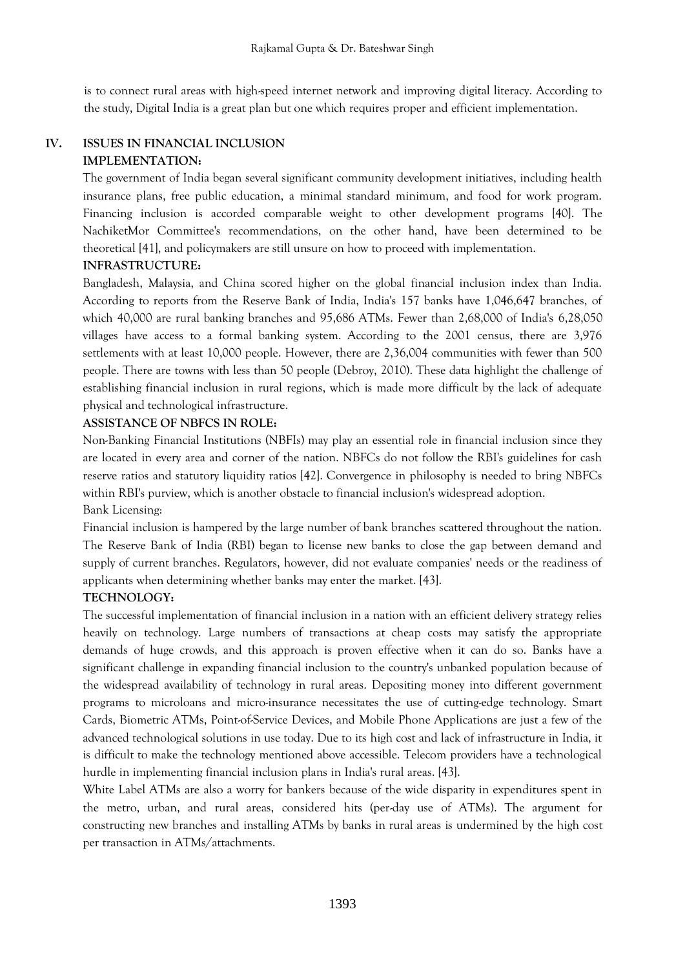is to connect rural areas with high-speed internet network and improving digital literacy. According to the study, Digital India is a great plan but one which requires proper and efficient implementation.

## **IV. ISSUES IN FINANCIAL INCLUSION IMPLEMENTATION:**

The government of India began several significant community development initiatives, including health insurance plans, free public education, a minimal standard minimum, and food for work program. Financing inclusion is accorded comparable weight to other development programs [40]. The NachiketMor Committee's recommendations, on the other hand, have been determined to be theoretical [41], and policymakers are still unsure on how to proceed with implementation.

# **INFRASTRUCTURE:**

Bangladesh, Malaysia, and China scored higher on the global financial inclusion index than India. According to reports from the Reserve Bank of India, India's 157 banks have 1,046,647 branches, of which 40,000 are rural banking branches and 95,686 ATMs. Fewer than 2,68,000 of India's 6,28,050 villages have access to a formal banking system. According to the 2001 census, there are 3,976 settlements with at least 10,000 people. However, there are 2,36,004 communities with fewer than 500 people. There are towns with less than 50 people (Debroy, 2010). These data highlight the challenge of establishing financial inclusion in rural regions, which is made more difficult by the lack of adequate physical and technological infrastructure.

# **ASSISTANCE OF NBFCS IN ROLE:**

Non-Banking Financial Institutions (NBFIs) may play an essential role in financial inclusion since they are located in every area and corner of the nation. NBFCs do not follow the RBI's guidelines for cash reserve ratios and statutory liquidity ratios [42]. Convergence in philosophy is needed to bring NBFCs within RBI's purview, which is another obstacle to financial inclusion's widespread adoption. Bank Licensing:

Financial inclusion is hampered by the large number of bank branches scattered throughout the nation. The Reserve Bank of India (RBI) began to license new banks to close the gap between demand and supply of current branches. Regulators, however, did not evaluate companies' needs or the readiness of applicants when determining whether banks may enter the market. [43].

# **TECHNOLOGY:**

The successful implementation of financial inclusion in a nation with an efficient delivery strategy relies heavily on technology. Large numbers of transactions at cheap costs may satisfy the appropriate demands of huge crowds, and this approach is proven effective when it can do so. Banks have a significant challenge in expanding financial inclusion to the country's unbanked population because of the widespread availability of technology in rural areas. Depositing money into different government programs to microloans and micro-insurance necessitates the use of cutting-edge technology. Smart Cards, Biometric ATMs, Point-of-Service Devices, and Mobile Phone Applications are just a few of the advanced technological solutions in use today. Due to its high cost and lack of infrastructure in India, it is difficult to make the technology mentioned above accessible. Telecom providers have a technological hurdle in implementing financial inclusion plans in India's rural areas. [43].

White Label ATMs are also a worry for bankers because of the wide disparity in expenditures spent in the metro, urban, and rural areas, considered hits (per-day use of ATMs). The argument for constructing new branches and installing ATMs by banks in rural areas is undermined by the high cost per transaction in ATMs/attachments.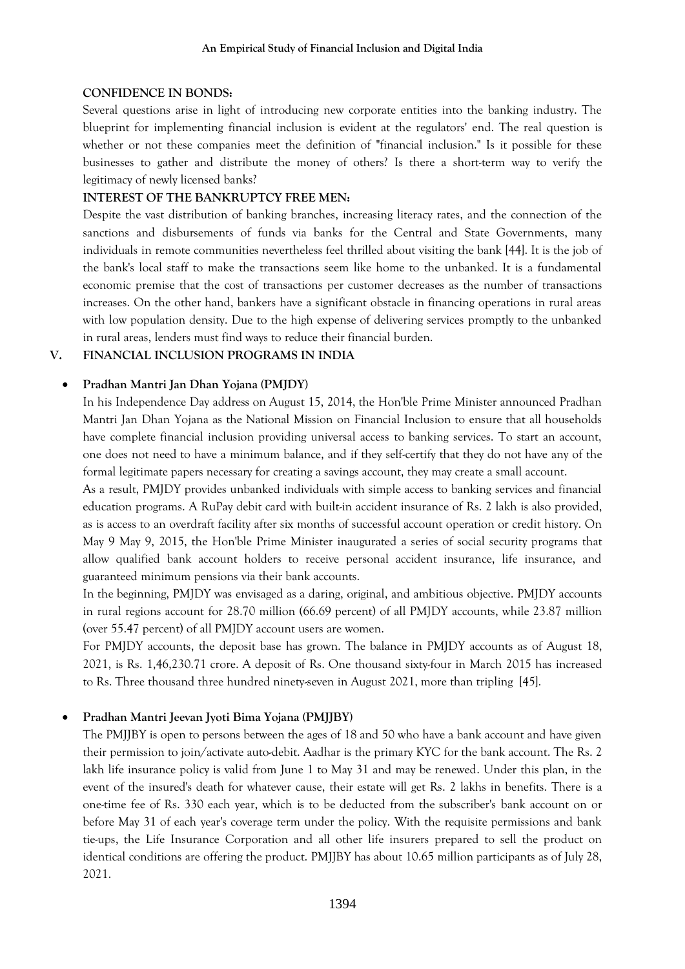#### **CONFIDENCE IN BONDS:**

Several questions arise in light of introducing new corporate entities into the banking industry. The blueprint for implementing financial inclusion is evident at the regulators' end. The real question is whether or not these companies meet the definition of "financial inclusion." Is it possible for these businesses to gather and distribute the money of others? Is there a short-term way to verify the legitimacy of newly licensed banks?

#### **INTEREST OF THE BANKRUPTCY FREE MEN:**

Despite the vast distribution of banking branches, increasing literacy rates, and the connection of the sanctions and disbursements of funds via banks for the Central and State Governments, many individuals in remote communities nevertheless feel thrilled about visiting the bank [44]. It is the job of the bank's local staff to make the transactions seem like home to the unbanked. It is a fundamental economic premise that the cost of transactions per customer decreases as the number of transactions increases. On the other hand, bankers have a significant obstacle in financing operations in rural areas with low population density. Due to the high expense of delivering services promptly to the unbanked in rural areas, lenders must find ways to reduce their financial burden.

## **V. FINANCIAL INCLUSION PROGRAMS IN INDIA**

## **Pradhan Mantri Jan Dhan Yojana (PMJDY)**

In his Independence Day address on August 15, 2014, the Hon'ble Prime Minister announced Pradhan Mantri Jan Dhan Yojana as the National Mission on Financial Inclusion to ensure that all households have complete financial inclusion providing universal access to banking services. To start an account, one does not need to have a minimum balance, and if they self-certify that they do not have any of the formal legitimate papers necessary for creating a savings account, they may create a small account.

As a result, PMJDY provides unbanked individuals with simple access to banking services and financial education programs. A RuPay debit card with built-in accident insurance of Rs. 2 lakh is also provided, as is access to an overdraft facility after six months of successful account operation or credit history. On May 9 May 9, 2015, the Hon'ble Prime Minister inaugurated a series of social security programs that allow qualified bank account holders to receive personal accident insurance, life insurance, and guaranteed minimum pensions via their bank accounts.

In the beginning, PMJDY was envisaged as a daring, original, and ambitious objective. PMJDY accounts in rural regions account for 28.70 million (66.69 percent) of all PMJDY accounts, while 23.87 million (over 55.47 percent) of all PMJDY account users are women.

For PMJDY accounts, the deposit base has grown. The balance in PMJDY accounts as of August 18, 2021, is Rs. 1,46,230.71 crore. A deposit of Rs. One thousand sixty-four in March 2015 has increased to Rs. Three thousand three hundred ninety-seven in August 2021, more than tripling [45].

#### **Pradhan Mantri Jeevan Jyoti Bima Yojana (PMJJBY)**

The PMJJBY is open to persons between the ages of 18 and 50 who have a bank account and have given their permission to join/activate auto-debit. Aadhar is the primary KYC for the bank account. The Rs. 2 lakh life insurance policy is valid from June 1 to May 31 and may be renewed. Under this plan, in the event of the insured's death for whatever cause, their estate will get Rs. 2 lakhs in benefits. There is a one-time fee of Rs. 330 each year, which is to be deducted from the subscriber's bank account on or before May 31 of each year's coverage term under the policy. With the requisite permissions and bank tie-ups, the Life Insurance Corporation and all other life insurers prepared to sell the product on identical conditions are offering the product. PMJJBY has about 10.65 million participants as of July 28, 2021.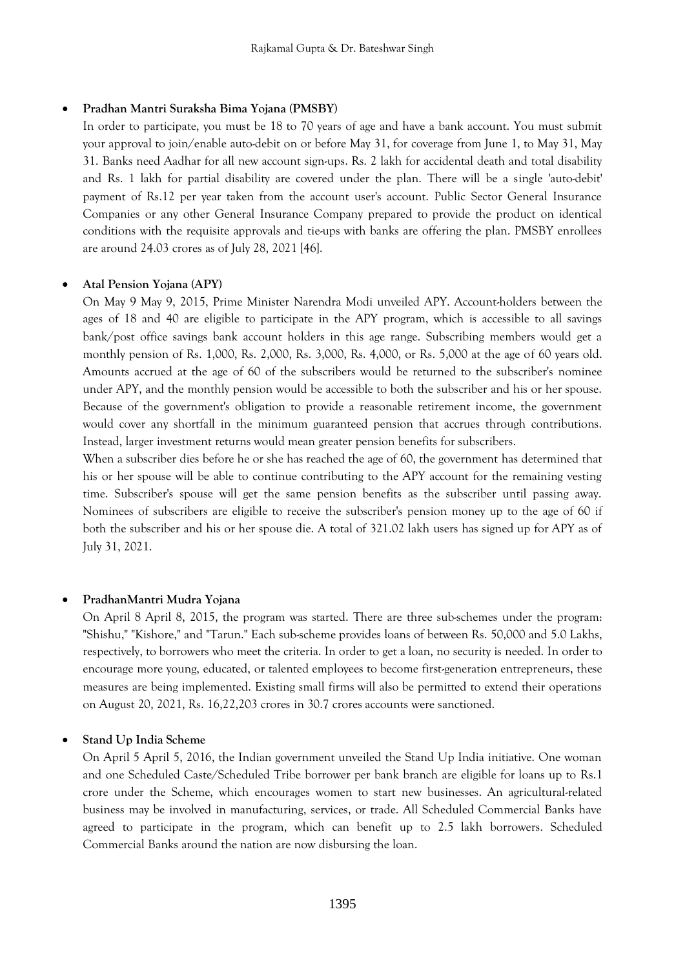#### **Pradhan Mantri Suraksha Bima Yojana (PMSBY)**

In order to participate, you must be 18 to 70 years of age and have a bank account. You must submit your approval to join/enable auto-debit on or before May 31, for coverage from June 1, to May 31, May 31. Banks need Aadhar for all new account sign-ups. Rs. 2 lakh for accidental death and total disability and Rs. 1 lakh for partial disability are covered under the plan. There will be a single 'auto-debit' payment of Rs.12 per year taken from the account user's account. Public Sector General Insurance Companies or any other General Insurance Company prepared to provide the product on identical conditions with the requisite approvals and tie-ups with banks are offering the plan. PMSBY enrollees are around 24.03 crores as of July 28, 2021 [46].

#### **Atal Pension Yojana (APY)**

On May 9 May 9, 2015, Prime Minister Narendra Modi unveiled APY. Account-holders between the ages of 18 and 40 are eligible to participate in the APY program, which is accessible to all savings bank/post office savings bank account holders in this age range. Subscribing members would get a monthly pension of Rs. 1,000, Rs. 2,000, Rs. 3,000, Rs. 4,000, or Rs. 5,000 at the age of 60 years old. Amounts accrued at the age of 60 of the subscribers would be returned to the subscriber's nominee under APY, and the monthly pension would be accessible to both the subscriber and his or her spouse. Because of the government's obligation to provide a reasonable retirement income, the government would cover any shortfall in the minimum guaranteed pension that accrues through contributions. Instead, larger investment returns would mean greater pension benefits for subscribers.

When a subscriber dies before he or she has reached the age of 60, the government has determined that his or her spouse will be able to continue contributing to the APY account for the remaining vesting time. Subscriber's spouse will get the same pension benefits as the subscriber until passing away. Nominees of subscribers are eligible to receive the subscriber's pension money up to the age of 60 if both the subscriber and his or her spouse die. A total of 321.02 lakh users has signed up for APY as of July 31, 2021.

#### **PradhanMantri Mudra Yojana**

On April 8 April 8, 2015, the program was started. There are three sub-schemes under the program: "Shishu," "Kishore," and "Tarun." Each sub-scheme provides loans of between Rs. 50,000 and 5.0 Lakhs, respectively, to borrowers who meet the criteria. In order to get a loan, no security is needed. In order to encourage more young, educated, or talented employees to become first-generation entrepreneurs, these measures are being implemented. Existing small firms will also be permitted to extend their operations on August 20, 2021, Rs. 16,22,203 crores in 30.7 crores accounts were sanctioned.

## **Stand Up India Scheme**

On April 5 April 5, 2016, the Indian government unveiled the Stand Up India initiative. One woman and one Scheduled Caste/Scheduled Tribe borrower per bank branch are eligible for loans up to Rs.1 crore under the Scheme, which encourages women to start new businesses. An agricultural-related business may be involved in manufacturing, services, or trade. All Scheduled Commercial Banks have agreed to participate in the program, which can benefit up to 2.5 lakh borrowers. Scheduled Commercial Banks around the nation are now disbursing the loan.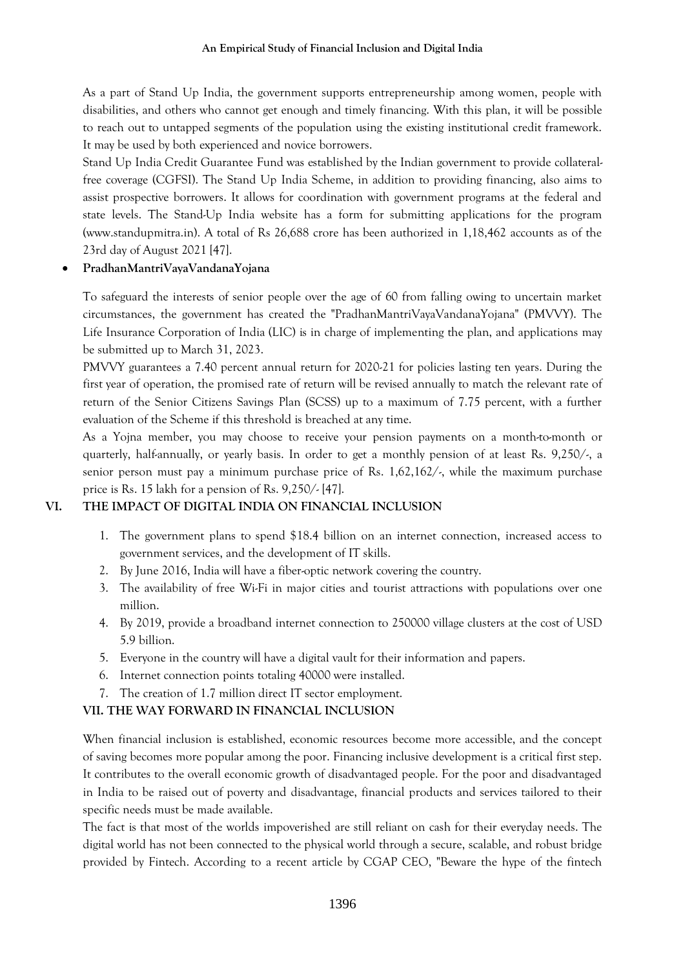As a part of Stand Up India, the government supports entrepreneurship among women, people with disabilities, and others who cannot get enough and timely financing. With this plan, it will be possible to reach out to untapped segments of the population using the existing institutional credit framework. It may be used by both experienced and novice borrowers.

Stand Up India Credit Guarantee Fund was established by the Indian government to provide collateralfree coverage (CGFSI). The Stand Up India Scheme, in addition to providing financing, also aims to assist prospective borrowers. It allows for coordination with government programs at the federal and state levels. The Stand-Up India website has a form for submitting applications for the program (www.standupmitra.in). A total of Rs 26,688 crore has been authorized in 1,18,462 accounts as of the 23rd day of August 2021 [47].

## **PradhanMantriVayaVandanaYojana**

To safeguard the interests of senior people over the age of 60 from falling owing to uncertain market circumstances, the government has created the "PradhanMantriVayaVandanaYojana" (PMVVY). The Life Insurance Corporation of India (LIC) is in charge of implementing the plan, and applications may be submitted up to March 31, 2023.

PMVVY guarantees a 7.40 percent annual return for 2020-21 for policies lasting ten years. During the first year of operation, the promised rate of return will be revised annually to match the relevant rate of return of the Senior Citizens Savings Plan (SCSS) up to a maximum of 7.75 percent, with a further evaluation of the Scheme if this threshold is breached at any time.

As a Yojna member, you may choose to receive your pension payments on a month-to-month or quarterly, half-annually, or yearly basis. In order to get a monthly pension of at least Rs. 9,250/-, a senior person must pay a minimum purchase price of Rs. 1,62,162/-, while the maximum purchase price is Rs. 15 lakh for a pension of Rs. 9,250/- [47].

# **VI. THE IMPACT OF DIGITAL INDIA ON FINANCIAL INCLUSION**

- 1. The government plans to spend \$18.4 billion on an internet connection, increased access to government services, and the development of IT skills.
- 2. By June 2016, India will have a fiber-optic network covering the country.
- 3. The availability of free Wi-Fi in major cities and tourist attractions with populations over one million.
- 4. By 2019, provide a broadband internet connection to 250000 village clusters at the cost of USD 5.9 billion.
- 5. Everyone in the country will have a digital vault for their information and papers.
- 6. Internet connection points totaling 40000 were installed.
- 7. The creation of 1.7 million direct IT sector employment.

# **VII. THE WAY FORWARD IN FINANCIAL INCLUSION**

When financial inclusion is established, economic resources become more accessible, and the concept of saving becomes more popular among the poor. Financing inclusive development is a critical first step. It contributes to the overall economic growth of disadvantaged people. For the poor and disadvantaged in India to be raised out of poverty and disadvantage, financial products and services tailored to their specific needs must be made available.

The fact is that most of the worlds impoverished are still reliant on cash for their everyday needs. The digital world has not been connected to the physical world through a secure, scalable, and robust bridge provided by Fintech. According to a recent article by CGAP CEO, "Beware the hype of the fintech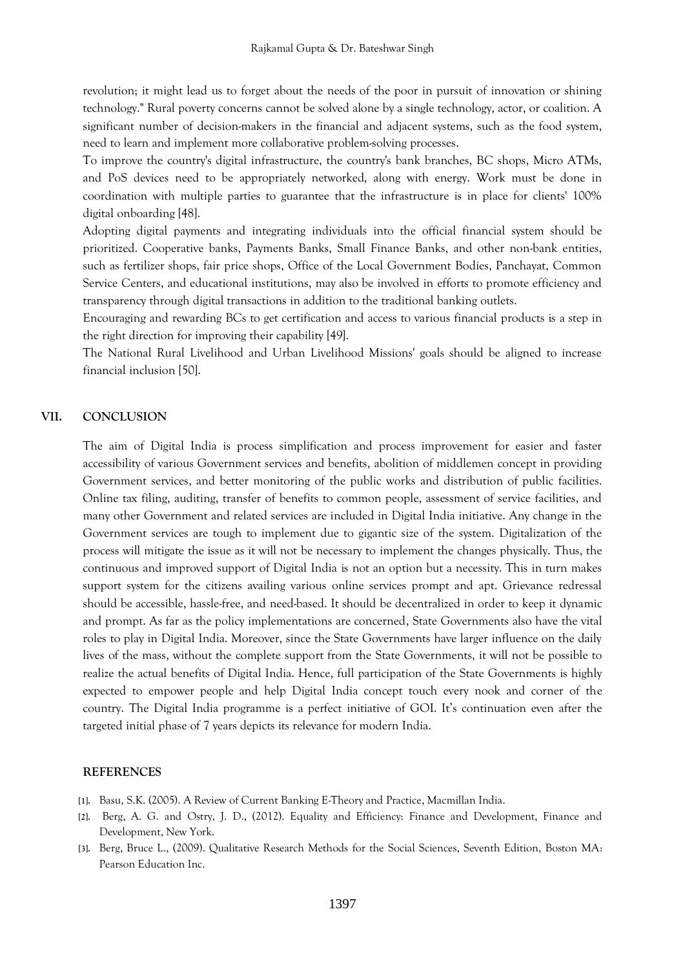revolution; it might lead us to forget about the needs of the poor in pursuit of innovation or shining technology." Rural poverty concerns cannot be solved alone by a single technology, actor, or coalition. A significant number of decision-makers in the financial and adjacent systems, such as the food system, need to learn and implement more collaborative problem-solving processes.

To improve the country's digital infrastructure, the country's bank branches, BC shops, Micro ATMs, and PoS devices need to be appropriately networked, along with energy. Work must be done in coordination with multiple parties to guarantee that the infrastructure is in place for clients' 100% digital onboarding [48].

Adopting digital payments and integrating individuals into the official financial system should be prioritized. Cooperative banks, Payments Banks, Small Finance Banks, and other non-bank entities, such as fertilizer shops, fair price shops, Office of the Local Government Bodies, Panchayat, Common Service Centers, and educational institutions, may also be involved in efforts to promote efficiency and transparency through digital transactions in addition to the traditional banking outlets.

Encouraging and rewarding BCs to get certification and access to various financial products is a step in the right direction for improving their capability [49].

The National Rural Livelihood and Urban Livelihood Missions' goals should be aligned to increase financial inclusion [50].

#### **VII. CONCLUSION**

The aim of Digital India is process simplification and process improvement for easier and faster accessibility of various Government services and benefits, abolition of middlemen concept in providing Government services, and better monitoring of the public works and distribution of public facilities. Online tax filing, auditing, transfer of benefits to common people, assessment of service facilities, and many other Government and related services are included in Digital India initiative. Any change in the Government services are tough to implement due to gigantic size of the system. Digitalization of the process will mitigate the issue as it will not be necessary to implement the changes physically. Thus, the continuous and improved support of Digital India is not an option but a necessity. This in turn makes support system for the citizens availing various online services prompt and apt. Grievance redressal should be accessible, hassle-free, and need-based. It should be decentralized in order to keep it dynamic and prompt. As far as the policy implementations are concerned, State Governments also have the vital roles to play in Digital India. Moreover, since the State Governments have larger influence on the daily lives of the mass, without the complete support from the State Governments, it will not be possible to realize the actual benefits of Digital India. Hence, full participation of the State Governments is highly expected to empower people and help Digital India concept touch every nook and corner of the country. The Digital India programme is a perfect initiative of GOI. It's continuation even after the targeted initial phase of 7 years depicts its relevance for modern India.

#### **REFERENCES**

- **[1].** Basu, S.K. (2005). A Review of Current Banking E-Theory and Practice, Macmillan India.
- **[2].** Berg, A. G. and Ostry, J. D., (2012). Equality and Efficiency: Finance and Development, Finance and Development, New York.
- **[3].** Berg, Bruce L., (2009). Qualitative Research Methods for the Social Sciences, Seventh Edition, Boston MA: Pearson Education Inc.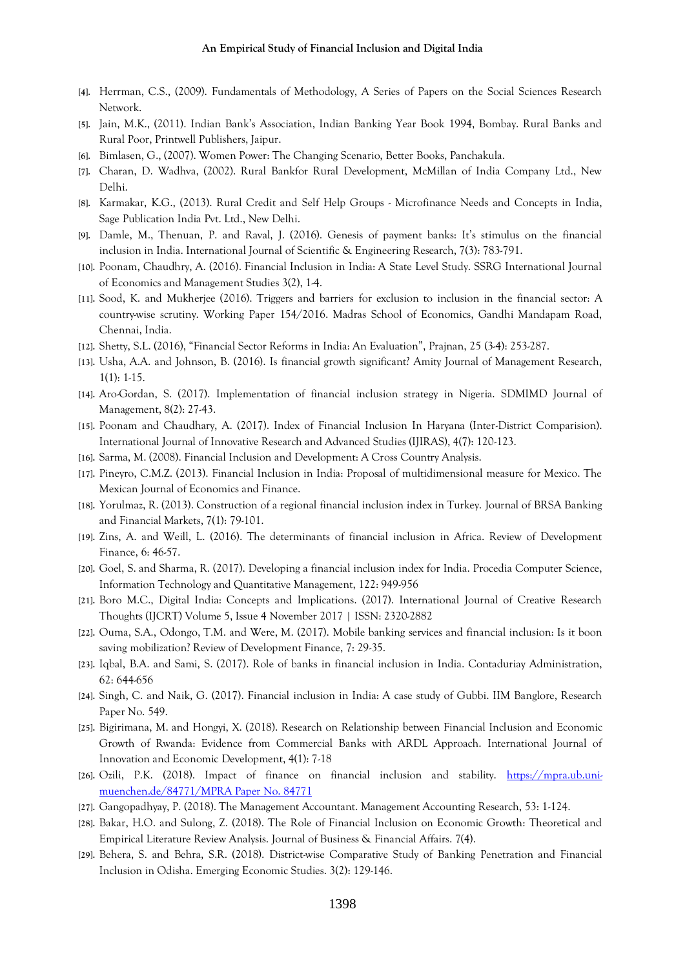- **[4].** Herrman, C.S., (2009). Fundamentals of Methodology, A Series of Papers on the Social Sciences Research Network.
- **[5].** Jain, M.K., (2011). Indian Bank's Association, Indian Banking Year Book 1994, Bombay. Rural Banks and Rural Poor, Printwell Publishers, Jaipur.
- **[6].** Bimlasen, G., (2007). Women Power: The Changing Scenario, Better Books, Panchakula.
- **[7].** Charan, D. Wadhva, (2002). Rural Bankfor Rural Development, McMillan of India Company Ltd., New Delhi.
- **[8].** Karmakar, K.G., (2013). Rural Credit and Self Help Groups Microfinance Needs and Concepts in India, Sage Publication India Pvt. Ltd., New Delhi.
- **[9].** Damle, M., Thenuan, P. and Raval, J. (2016). Genesis of payment banks: It's stimulus on the financial inclusion in India. International Journal of Scientific & Engineering Research, 7(3): 783-791.
- **[10].** Poonam, Chaudhry, A. (2016). Financial Inclusion in India: A State Level Study. SSRG International Journal of Economics and Management Studies 3(2), 1-4.
- **[11].** Sood, K. and Mukherjee (2016). Triggers and barriers for exclusion to inclusion in the financial sector: A country-wise scrutiny. Working Paper 154/2016. Madras School of Economics, Gandhi Mandapam Road, Chennai, India.
- **[12].** Shetty, S.L. (2016), "Financial Sector Reforms in India: An Evaluation", Prajnan, 25 (3-4): 253-287.
- **[13].** Usha, A.A. and Johnson, B. (2016). Is financial growth significant? Amity Journal of Management Research, 1(1): 1-15.
- **[14].** Aro-Gordan, S. (2017). Implementation of financial inclusion strategy in Nigeria. SDMIMD Journal of Management, 8(2): 27-43.
- **[15].** Poonam and Chaudhary, A. (2017). Index of Financial Inclusion In Haryana (Inter-District Comparision). International Journal of Innovative Research and Advanced Studies (IJIRAS), 4(7): 120-123.
- **[16].** Sarma, M. (2008). Financial Inclusion and Development: A Cross Country Analysis.
- **[17].** Pineyro, C.M.Z. (2013). Financial Inclusion in India: Proposal of multidimensional measure for Mexico. The Mexican Journal of Economics and Finance.
- **[18].** Yorulmaz, R. (2013). Construction of a regional financial inclusion index in Turkey. Journal of BRSA Banking and Financial Markets, 7(1): 79-101.
- **[19].** Zins, A. and Weill, L. (2016). The determinants of financial inclusion in Africa. Review of Development Finance, 6: 46-57.
- **[20].** Goel, S. and Sharma, R. (2017). Developing a financial inclusion index for India. Procedia Computer Science, Information Technology and Quantitative Management, 122: 949-956
- **[21].** Boro M.C., Digital India: Concepts and Implications. (2017). International Journal of Creative Research Thoughts (IJCRT) Volume 5, Issue 4 November 2017 | ISSN: 2320-2882
- **[22].** Ouma, S.A., Odongo, T.M. and Were, M. (2017). Mobile banking services and financial inclusion: Is it boon saving mobilization? Review of Development Finance, 7: 29-35.
- **[23].** Iqbal, B.A. and Sami, S. (2017). Role of banks in financial inclusion in India. Contaduriay Administration, 62: 644-656
- **[24].** Singh, C. and Naik, G. (2017). Financial inclusion in India: A case study of Gubbi. IIM Banglore, Research Paper No. 549.
- **[25].** Bigirimana, M. and Hongyi, X. (2018). Research on Relationship between Financial Inclusion and Economic Growth of Rwanda: Evidence from Commercial Banks with ARDL Approach. International Journal of Innovation and Economic Development, 4(1): 7-18
- **[26].** Ozili, P.K. (2018). Impact of finance on financial inclusion and stability. [https://mpra.ub.uni](https://mpra.ub.uni-muenchen.de/84771/MPRA%20Paper%20No.%2084771)[muenchen.de/84771/MPRA Paper No. 84771](https://mpra.ub.uni-muenchen.de/84771/MPRA%20Paper%20No.%2084771)
- **[27].** Gangopadhyay, P. (2018). The Management Accountant. Management Accounting Research, 53: 1-124.
- **[28].** Bakar, H.O. and Sulong, Z. (2018). The Role of Financial Inclusion on Economic Growth: Theoretical and Empirical Literature Review Analysis. Journal of Business & Financial Affairs. 7(4).
- **[29].** Behera, S. and Behra, S.R. (2018). District-wise Comparative Study of Banking Penetration and Financial Inclusion in Odisha. Emerging Economic Studies. 3(2): 129-146.